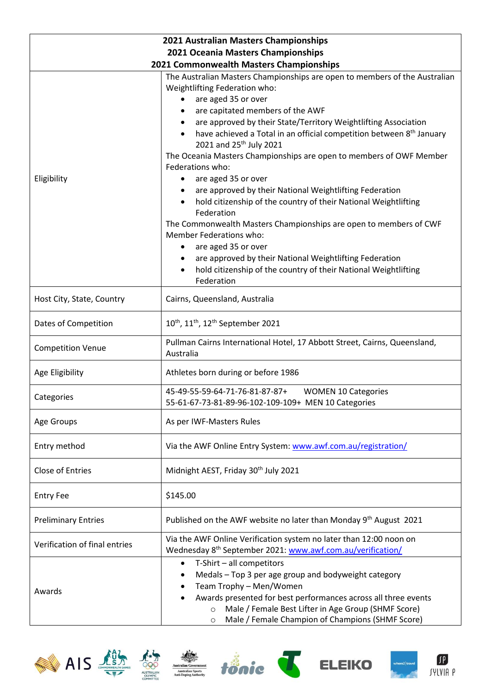| 2021 Australian Masters Championships   |                                                                                                                                                                                                                                                                                                                                                                                                                                                                                                                                                                                                                                                                                                                                                                                                                                                                                                                    |  |  |  |
|-----------------------------------------|--------------------------------------------------------------------------------------------------------------------------------------------------------------------------------------------------------------------------------------------------------------------------------------------------------------------------------------------------------------------------------------------------------------------------------------------------------------------------------------------------------------------------------------------------------------------------------------------------------------------------------------------------------------------------------------------------------------------------------------------------------------------------------------------------------------------------------------------------------------------------------------------------------------------|--|--|--|
| 2021 Oceania Masters Championships      |                                                                                                                                                                                                                                                                                                                                                                                                                                                                                                                                                                                                                                                                                                                                                                                                                                                                                                                    |  |  |  |
| 2021 Commonwealth Masters Championships |                                                                                                                                                                                                                                                                                                                                                                                                                                                                                                                                                                                                                                                                                                                                                                                                                                                                                                                    |  |  |  |
| Eligibility                             | The Australian Masters Championships are open to members of the Australian<br>Weightlifting Federation who:<br>are aged 35 or over<br>are capitated members of the AWF<br>are approved by their State/Territory Weightlifting Association<br>have achieved a Total in an official competition between 8 <sup>th</sup> January<br>2021 and 25 <sup>th</sup> July 2021<br>The Oceania Masters Championships are open to members of OWF Member<br>Federations who:<br>are aged 35 or over<br>$\bullet$<br>are approved by their National Weightlifting Federation<br>hold citizenship of the country of their National Weightlifting<br>Federation<br>The Commonwealth Masters Championships are open to members of CWF<br>Member Federations who:<br>are aged 35 or over<br>are approved by their National Weightlifting Federation<br>hold citizenship of the country of their National Weightlifting<br>Federation |  |  |  |
| Host City, State, Country               | Cairns, Queensland, Australia                                                                                                                                                                                                                                                                                                                                                                                                                                                                                                                                                                                                                                                                                                                                                                                                                                                                                      |  |  |  |
| Dates of Competition                    | 10 <sup>th</sup> , 11 <sup>th</sup> , 12 <sup>th</sup> September 2021                                                                                                                                                                                                                                                                                                                                                                                                                                                                                                                                                                                                                                                                                                                                                                                                                                              |  |  |  |
| <b>Competition Venue</b>                | Pullman Cairns International Hotel, 17 Abbott Street, Cairns, Queensland,<br>Australia                                                                                                                                                                                                                                                                                                                                                                                                                                                                                                                                                                                                                                                                                                                                                                                                                             |  |  |  |
| Age Eligibility                         | Athletes born during or before 1986                                                                                                                                                                                                                                                                                                                                                                                                                                                                                                                                                                                                                                                                                                                                                                                                                                                                                |  |  |  |
| Categories                              | 45-49-55-59-64-71-76-81-87-87+<br><b>WOMEN 10 Categories</b><br>55-61-67-73-81-89-96-102-109-109+ MEN 10 Categories                                                                                                                                                                                                                                                                                                                                                                                                                                                                                                                                                                                                                                                                                                                                                                                                |  |  |  |
| Age Groups                              | As per IWF-Masters Rules                                                                                                                                                                                                                                                                                                                                                                                                                                                                                                                                                                                                                                                                                                                                                                                                                                                                                           |  |  |  |
| Entry method                            | Via the AWF Online Entry System: www.awf.com.au/registration/                                                                                                                                                                                                                                                                                                                                                                                                                                                                                                                                                                                                                                                                                                                                                                                                                                                      |  |  |  |
| Close of Entries                        | Midnight AEST, Friday 30 <sup>th</sup> July 2021                                                                                                                                                                                                                                                                                                                                                                                                                                                                                                                                                                                                                                                                                                                                                                                                                                                                   |  |  |  |
| <b>Entry Fee</b>                        | \$145.00                                                                                                                                                                                                                                                                                                                                                                                                                                                                                                                                                                                                                                                                                                                                                                                                                                                                                                           |  |  |  |
| <b>Preliminary Entries</b>              | Published on the AWF website no later than Monday 9 <sup>th</sup> August 2021                                                                                                                                                                                                                                                                                                                                                                                                                                                                                                                                                                                                                                                                                                                                                                                                                                      |  |  |  |
| Verification of final entries           | Via the AWF Online Verification system no later than 12:00 noon on<br>Wednesday 8 <sup>th</sup> September 2021: www.awf.com.au/verification/                                                                                                                                                                                                                                                                                                                                                                                                                                                                                                                                                                                                                                                                                                                                                                       |  |  |  |
| Awards                                  | T-Shirt - all competitors<br>$\bullet$<br>Medals - Top 3 per age group and bodyweight category<br>Team Trophy - Men/Women<br>Awards presented for best performances across all three events<br>Male / Female Best Lifter in Age Group (SHMF Score)<br>$\circ$<br>Male / Female Champion of Champions (SHMF Score)<br>$\circ$                                                                                                                                                                                                                                                                                                                                                                                                                                                                                                                                                                                       |  |  |  |













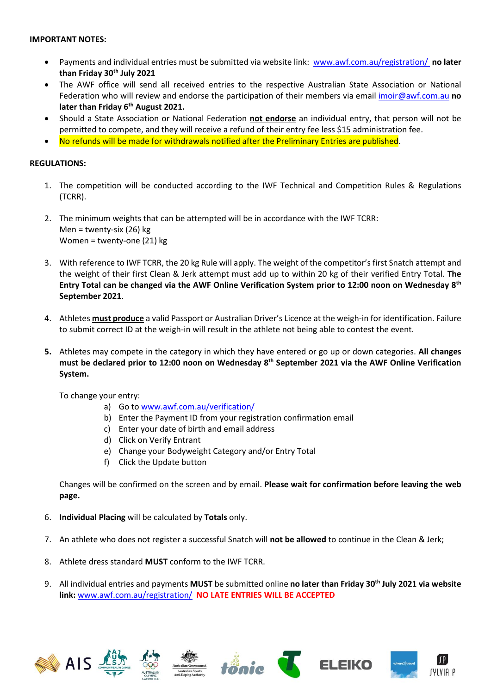## **IMPORTANT NOTES:**

- Payments and individual entries must be submitted via website link: [www.awf.com.au/registration/](http://www.awf.com.au/registration/) **no later than Friday 30th July 2021**
- The AWF office will send all received entries to the respective Australian State Association or National Federation who will review and endorse the participation of their members via email [imoir@awf.com.au](mailto:imoir@awf.com.au) **no later than Friday 6 th August 2021.**
- Should a State Association or National Federation **not endorse** an individual entry, that person will not be permitted to compete, and they will receive a refund of their entry fee less \$15 administration fee.
- No refunds will be made for withdrawals notified after the Preliminary Entries are published.

## **REGULATIONS:**

- 1. The competition will be conducted according to the IWF Technical and Competition Rules & Regulations (TCRR).
- 2. The minimum weights that can be attempted will be in accordance with the IWF TCRR: Men = twenty-six (26) kg Women = twenty-one (21) kg
- 3. With reference to IWF TCRR, the 20 kg Rule will apply. The weight of the competitor's first Snatch attempt and the weight of their first Clean & Jerk attempt must add up to within 20 kg of their verified Entry Total. **The Entry Total can be changed via the AWF Online Verification System prior to 12:00 noon on Wednesday 8 th September 2021**.
- 4. Athletes **must produce** a valid Passport or Australian Driver's Licence at the weigh-in for identification. Failure to submit correct ID at the weigh-in will result in the athlete not being able to contest the event.
- **5.** Athletes may compete in the category in which they have entered or go up or down categories. **All changes must be declared prior to 12:00 noon on Wednesday 8 th September 2021 via the AWF Online Verification System.**

To change your entry:

- a) Go to [www.awf.com.au/verification/](http://www.awf.com.au/verification/)
- b) Enter the Payment ID from your registration confirmation email
- c) Enter your date of birth and email address
- d) Click on Verify Entrant
- e) Change your Bodyweight Category and/or Entry Total
- f) Click the Update button

Changes will be confirmed on the screen and by email. **Please wait for confirmation before leaving the web page.**

- 6. **Individual Placing** will be calculated by **Totals** only.
- 7. An athlete who does not register a successful Snatch will **not be allowed** to continue in the Clean & Jerk;
- 8. Athlete dress standard **MUST** conform to the IWF TCRR.
- 9. All individual entries and payments **MUST** be submitted online **no later than Friday 30th July 2021 via website link:** [www.awf.com.au/registration/](http://www.awf.com.au/registration/) **NO LATE ENTRIES WILL BE ACCEPTED**